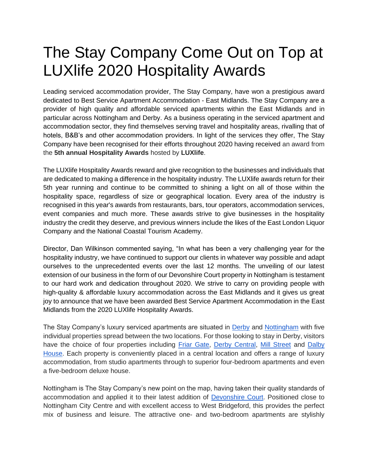## The Stay Company Come Out on Top at LUXlife 2020 Hospitality Awards

Leading serviced accommodation provider, The Stay Company, have won a prestigious award dedicated to Best Service Apartment Accommodation - East Midlands. The Stay Company are a provider of high quality and affordable serviced apartments within the East Midlands and in particular across Nottingham and Derby. As a business operating in the serviced apartment and accommodation sector, they find themselves serving travel and hospitality areas, rivalling that of hotels, B&B's and other accommodation providers. In light of the services they offer, The Stay Company have been recognised for their efforts throughout 2020 having received an award from the **5th annual Hospitality Awards** hosted by **LUXlife**.

The LUXlife Hospitality Awards reward and give recognition to the businesses and individuals that are dedicated to making a difference in the hospitality industry. The LUXlife awards return for their 5th year running and continue to be committed to shining a light on all of those within the hospitality space, regardless of size or geographical location. Every area of the industry is recognised in this year's awards from restaurants, bars, tour operators, accommodation services, event companies and much more. These awards strive to give businesses in the hospitality industry the credit they deserve, and previous winners include the likes of the East London Liquor Company and the National Coastal Tourism Academy.

Director, Dan Wilkinson commented saying, "In what has been a very challenging year for the hospitality industry, we have continued to support our clients in whatever way possible and adapt ourselves to the unprecedented events over the last 12 months. The unveiling of our latest extension of our business in the form of our Devonshire Court property in Nottingham is testament to our hard work and dedication throughout 2020. We strive to carry on providing people with high-quality & affordable luxury accommodation across the East Midlands and it gives us great joy to announce that we have been awarded Best Service Apartment Accommodation in the East Midlands from the 2020 LUXlife Hospitality Awards.

The Stay Company's luxury serviced apartments are situated in [Derby](https://www.thestaycompany.com/areas/derby) and [Nottingham](https://www.thestaycompany.com/areas/nottingham-) with five individual properties spread between the two locations. For those looking to stay in Derby, visitors have the choice of four properties including [Friar Gate,](https://www.thestaycompany.com/property/5?area=3&startDate=&endDate=) [Derby Central,](https://www.thestaycompany.com/property/1?area=3&startDate=&endDate=) [Mill Street](https://www.thestaycompany.com/property/8?area=3&startDate=&endDate=) and Dalby [House.](https://www.thestaycompany.com/property/9?area=3&startDate=&endDate=) Each property is conveniently placed in a central location and offers a range of luxury accommodation, from studio apartments through to superior four-bedroom apartments and even a five-bedroom deluxe house.

Nottingham is The Stay Company's new point on the map, having taken their quality standards of accommodation and applied it to their latest addition of [Devonshire Court.](https://www.thestaycompany.com/property/10?area=4&startDate=&endDate=) Positioned close to Nottingham City Centre and with excellent access to West Bridgeford, this provides the perfect mix of business and leisure. The attractive one- and two-bedroom apartments are stylishly